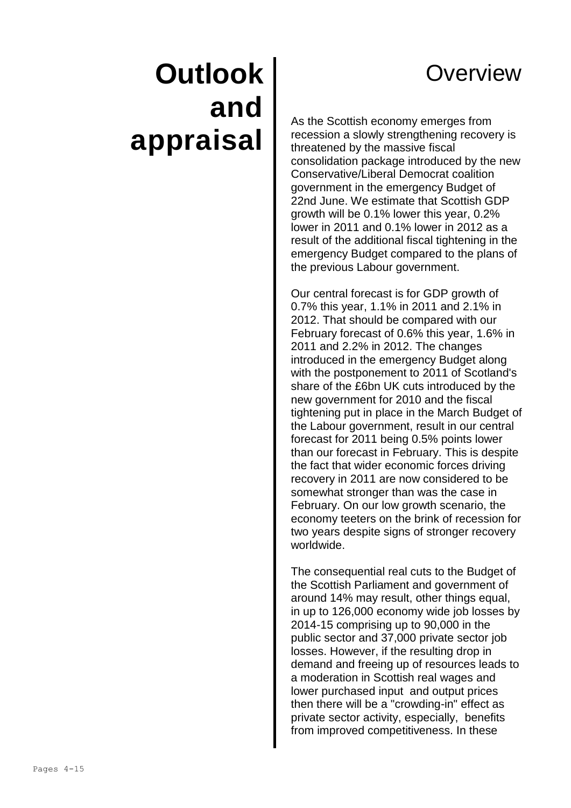# **Overview**

# **Outlook and appraisal**

As the Scottish economy emerges from recession a slowly strengthening recovery is threatened by the massive fiscal consolidation package introduced by the new Conservative/Liberal Democrat coalition government in the emergency Budget of 22nd June. We estimate that Scottish GDP growth will be 0.1% lower this year, 0.2% lower in 2011 and 0.1% lower in 2012 as a result of the additional fiscal tightening in the emergency Budget compared to the plans of the previous Labour government.

Our central forecast is for GDP growth of 0.7% this year, 1.1% in 2011 and 2.1% in 2012. That should be compared with our February forecast of 0.6% this year, 1.6% in 2011 and 2.2% in 2012. The changes introduced in the emergency Budget along with the postponement to 2011 of Scotland's share of the £6bn UK cuts introduced by the new government for 2010 and the fiscal tightening put in place in the March Budget of the Labour government, result in our central forecast for 2011 being 0.5% points lower than our forecast in February. This is despite the fact that wider economic forces driving recovery in 2011 are now considered to be somewhat stronger than was the case in February. On our low growth scenario, the economy teeters on the brink of recession for two years despite signs of stronger recovery worldwide.

The consequential real cuts to the Budget of the Scottish Parliament and government of around 14% may result, other things equal, in up to 126,000 economy wide job losses by 2014-15 comprising up to 90,000 in the public sector and 37,000 private sector job losses. However, if the resulting drop in demand and freeing up of resources leads to a moderation in Scottish real wages and lower purchased input and output prices then there will be a "crowding-in" effect as private sector activity, especially, benefits from improved competitiveness. In these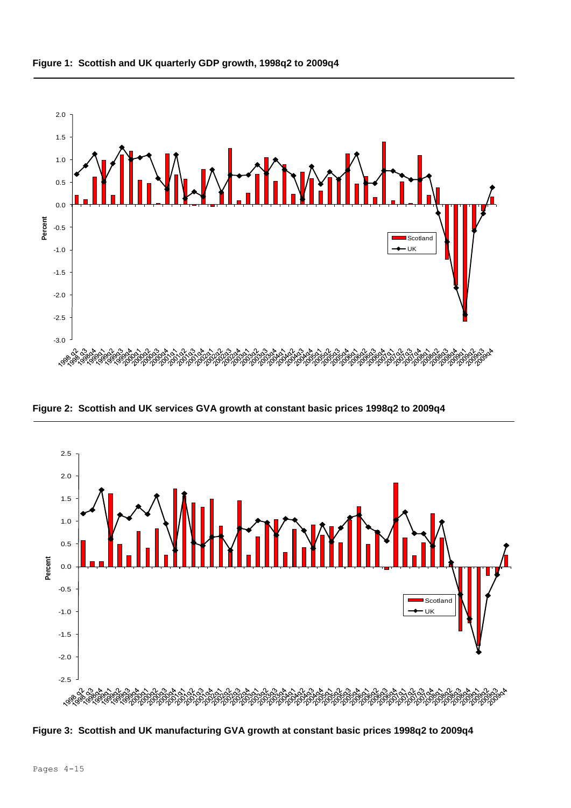

**Figure 2: Scottish and UK services GVA growth at constant basic prices 1998q2 to 2009q4**



**Figure 3: Scottish and UK manufacturing GVA growth at constant basic prices 1998q2 to 2009q4**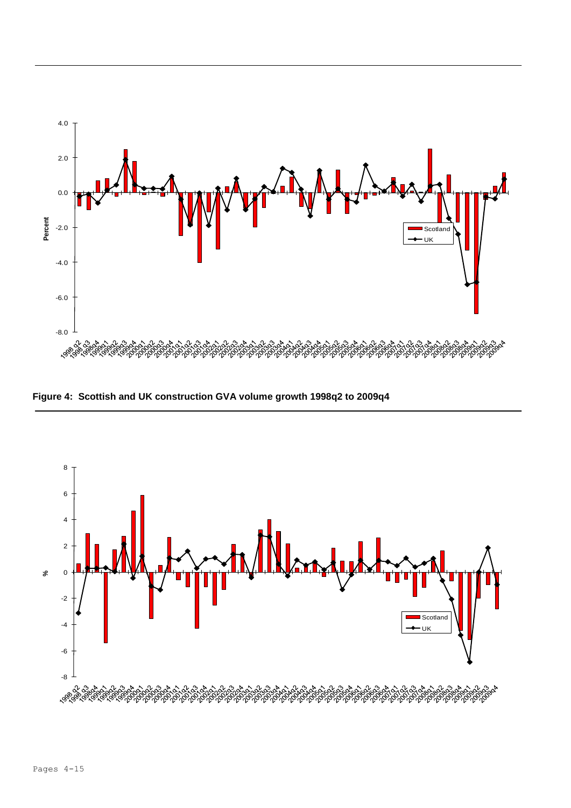

**Figure 4: Scottish and UK construction GVA volume growth 1998q2 to 2009q4**

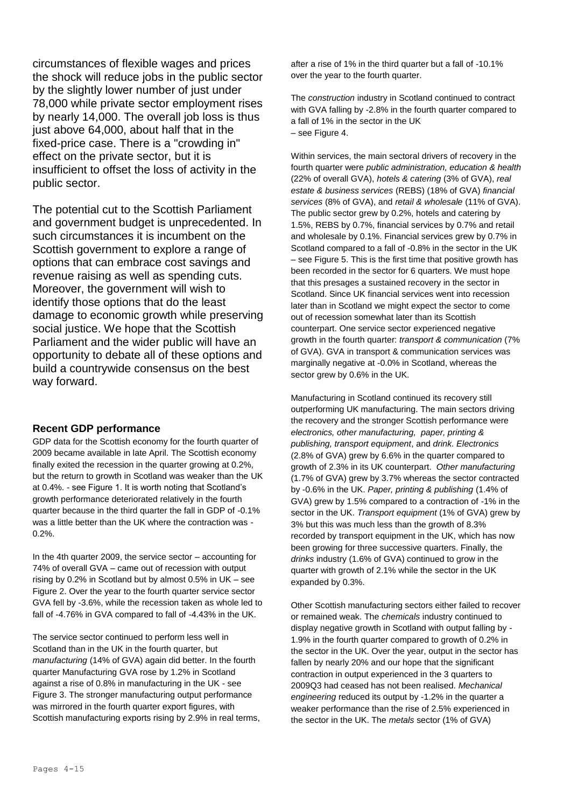circumstances of flexible wages and prices the shock will reduce jobs in the public sector by the slightly lower number of just under 78,000 while private sector employment rises by nearly 14,000. The overall job loss is thus just above 64,000, about half that in the fixed-price case. There is a "crowding in" effect on the private sector, but it is insufficient to offset the loss of activity in the public sector.

The potential cut to the Scottish Parliament and government budget is unprecedented. In such circumstances it is incumbent on the Scottish government to explore a range of options that can embrace cost savings and revenue raising as well as spending cuts. Moreover, the government will wish to identify those options that do the least damage to economic growth while preserving social justice. We hope that the Scottish Parliament and the wider public will have an opportunity to debate all of these options and build a countrywide consensus on the best way forward.

# **Recent GDP performance**

GDP data for the Scottish economy for the fourth quarter of 2009 became available in late April. The Scottish economy finally exited the recession in the quarter growing at 0.2%, but the return to growth in Scotland was weaker than the UK at 0.4%. - see Figure 1. It is worth noting that Scotland's growth performance deteriorated relatively in the fourth quarter because in the third quarter the fall in GDP of -0.1% was a little better than the UK where the contraction was - 0.2%.

In the 4th quarter 2009, the service sector – accounting for 74% of overall GVA – came out of recession with output rising by 0.2% in Scotland but by almost 0.5% in UK – see Figure 2. Over the year to the fourth quarter service sector GVA fell by -3.6%, while the recession taken as whole led to fall of -4.76% in GVA compared to fall of -4.43% in the UK.

The service sector continued to perform less well in Scotland than in the UK in the fourth quarter, but *manufacturing* (14% of GVA) again did better. In the fourth quarter Manufacturing GVA rose by 1.2% in Scotland against a rise of 0.8% in manufacturing in the UK - see Figure 3. The stronger manufacturing output performance was mirrored in the fourth quarter export figures, with Scottish manufacturing exports rising by 2.9% in real terms, after a rise of 1% in the third quarter but a fall of -10.1% over the year to the fourth quarter.

The *construction* industry in Scotland continued to contract with GVA falling by -2.8% in the fourth quarter compared to a fall of 1% in the sector in the UK – see Figure 4.

Within services, the main sectoral drivers of recovery in the fourth quarter were *public administration, education & health* (22% of overall GVA), *hotels & catering* (3% of GVA), *real estate & business services* (REBS) (18% of GVA) *financial services* (8% of GVA), and *retail & wholesale* (11% of GVA). The public sector grew by 0.2%, hotels and catering by 1.5%, REBS by 0.7%, financial services by 0.7% and retail and wholesale by 0.1%. Financial services grew by 0.7% in Scotland compared to a fall of -0.8% in the sector in the UK – see Figure 5. This is the first time that positive growth has been recorded in the sector for 6 quarters. We must hope that this presages a sustained recovery in the sector in Scotland. Since UK financial services went into recession later than in Scotland we might expect the sector to come out of recession somewhat later than its Scottish counterpart. One service sector experienced negative growth in the fourth quarter: *transport & communication* (7% of GVA). GVA in transport & communication services was marginally negative at -0.0% in Scotland, whereas the sector grew by 0.6% in the UK.

Manufacturing in Scotland continued its recovery still outperforming UK manufacturing. The main sectors driving the recovery and the stronger Scottish performance were *electronics, other manufacturing, paper, printing & publishing, transport equipment*, and *drink. Electronics* (2.8% of GVA) grew by 6.6% in the quarter compared to growth of 2.3% in its UK counterpart. *Other manufacturing* (1.7% of GVA) grew by 3.7% whereas the sector contracted by -0.6% in the UK. *Paper, printing & publishing* (1.4% of GVA) grew by 1.5% compared to a contraction of -1% in the sector in the UK. *Transport equipment* (1% of GVA) grew by 3% but this was much less than the growth of 8.3% recorded by transport equipment in the UK, which has now been growing for three successive quarters. Finally, the *drinks* industry (1.6% of GVA) continued to grow in the quarter with growth of 2.1% while the sector in the UK expanded by 0.3%.

Other Scottish manufacturing sectors either failed to recover or remained weak. The *chemicals* industry continued to display negative growth in Scotland with output falling by - 1.9% in the fourth quarter compared to growth of 0.2% in the sector in the UK. Over the year, output in the sector has fallen by nearly 20% and our hope that the significant contraction in output experienced in the 3 quarters to 2009Q3 had ceased has not been realised. *Mechanical engineering* reduced its output by -1.2% in the quarter a weaker performance than the rise of 2.5% experienced in the sector in the UK. The *metals* sector (1% of GVA)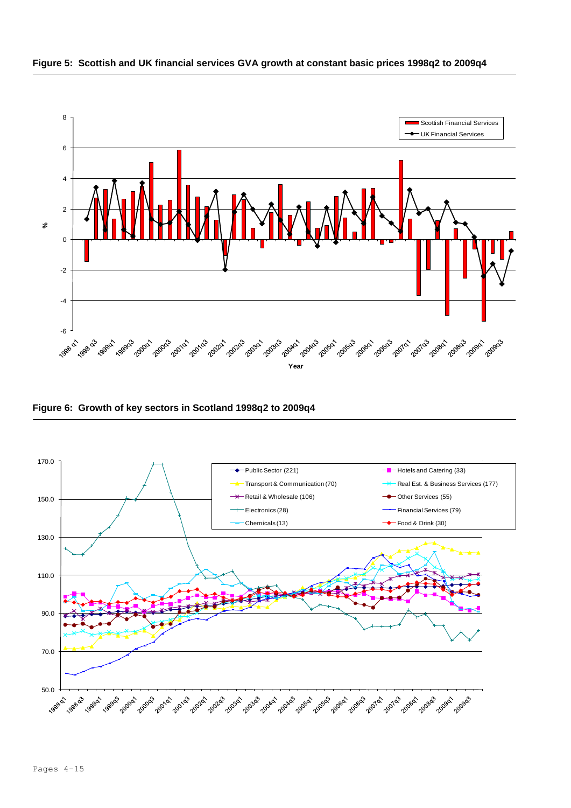



**Figure 6: Growth of key sectors in Scotland 1998q2 to 2009q4**

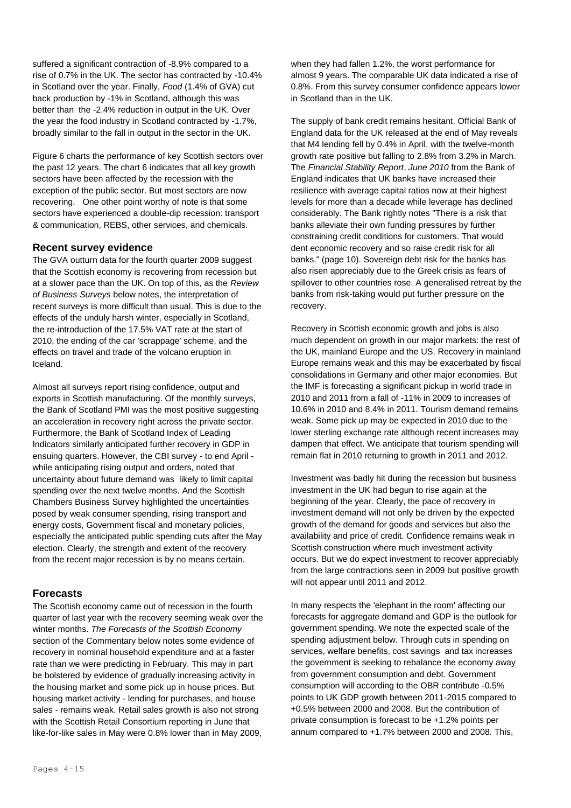suffered a significant contraction of -8.9% compared to a rise of 0.7% in the UK. The sector has contracted by -10.4% in Scotland over the year. Finally, *Food* (1.4% of GVA) cut back production by -1% in Scotland, although this was better than the -2.4% reduction in output in the UK. Over the year the food industry in Scotland contracted by -1.7%, broadly similar to the fall in output in the sector in the UK.

Figure 6 charts the performance of key Scottish sectors over the past 12 years. The chart 6 indicates that all key growth sectors have been affected by the recession with the exception of the public sector. But most sectors are now recovering. One other point worthy of note is that some sectors have experienced a double-dip recession: transport & communication, REBS, other services, and chemicals.

# **Recent survey evidence**

The GVA outturn data for the fourth quarter 2009 suggest that the Scottish economy is recovering from recession but at a slower pace than the UK. On top of this, as the *Review of Business Surveys* below notes, the interpretation of recent surveys is more difficult than usual. This is due to the effects of the unduly harsh winter, especially in Scotland, the re-introduction of the 17.5% VAT rate at the start of 2010, the ending of the car 'scrappage' scheme, and the effects on travel and trade of the volcano eruption in Iceland.

Almost all surveys report rising confidence, output and exports in Scottish manufacturing. Of the monthly surveys, the Bank of Scotland PMI was the most positive suggesting an acceleration in recovery right across the private sector. Furthermore, the Bank of Scotland Index of Leading Indicators similarly anticipated further recovery in GDP in ensuing quarters. However, the CBI survey - to end April while anticipating rising output and orders, noted that uncertainty about future demand was likely to limit capital spending over the next twelve months. And the Scottish Chambers Business Survey highlighted the uncertainties posed by weak consumer spending, rising transport and energy costs, Government fiscal and monetary policies, especially the anticipated public spending cuts after the May election. Clearly, the strength and extent of the recovery from the recent major recession is by no means certain.

#### **Forecasts**

The Scottish economy came out of recession in the fourth quarter of last year with the recovery seeming weak over the winter months. *The Forecasts of the Scottish Economy* section of the Commentary below notes some evidence of recovery in nominal household expenditure and at a faster rate than we were predicting in February. This may in part be bolstered by evidence of gradually increasing activity in the housing market and some pick up in house prices. But housing market activity - lending for purchases, and house sales - remains weak. Retail sales growth is also not strong with the Scottish Retail Consortium reporting in June that like-for-like sales in May were 0.8% lower than in May 2009,

when they had fallen 1.2%, the worst performance for almost 9 years. The comparable UK data indicated a rise of 0.8%. From this survey consumer confidence appears lower in Scotland than in the UK.

The supply of bank credit remains hesitant. Official Bank of England data for the UK released at the end of May reveals that M4 lending fell by 0.4% in April, with the twelve-month growth rate positive but falling to 2.8% from 3.2% in March. The *Financial Stability Report*, *June 2010* from the Bank of England indicates that UK banks have increased their resilience with average capital ratios now at their highest levels for more than a decade while leverage has declined considerably. The Bank rightly notes "There is a risk that banks alleviate their own funding pressures by further constraining credit conditions for customers. That would dent economic recovery and so raise credit risk for all banks." (page 10). Sovereign debt risk for the banks has also risen appreciably due to the Greek crisis as fears of spillover to other countries rose. A generalised retreat by the banks from risk-taking would put further pressure on the recovery.

Recovery in Scottish economic growth and jobs is also much dependent on growth in our major markets: the rest of the UK, mainland Europe and the US. Recovery in mainland Europe remains weak and this may be exacerbated by fiscal consolidations in Germany and other major economies. But the IMF is forecasting a significant pickup in world trade in 2010 and 2011 from a fall of -11% in 2009 to increases of 10.6% in 2010 and 8.4% in 2011. Tourism demand remains weak. Some pick up may be expected in 2010 due to the lower sterling exchange rate although recent increases may dampen that effect. We anticipate that tourism spending will remain flat in 2010 returning to growth in 2011 and 2012.

Investment was badly hit during the recession but business investment in the UK had begun to rise again at the beginning of the year. Clearly, the pace of recovery in investment demand will not only be driven by the expected growth of the demand for goods and services but also the availability and price of credit. Confidence remains weak in Scottish construction where much investment activity occurs. But we do expect investment to recover appreciably from the large contractions seen in 2009 but positive growth will not appear until 2011 and 2012.

In many respects the 'elephant in the room' affecting our forecasts for aggregate demand and GDP is the outlook for government spending. We note the expected scale of the spending adjustment below. Through cuts in spending on services, welfare benefits, cost savings and tax increases the government is seeking to rebalance the economy away from government consumption and debt. Government consumption will according to the OBR contribute -0.5% points to UK GDP growth between 2011-2015 compared to +0.5% between 2000 and 2008. But the contribution of private consumption is forecast to be +1.2% points per annum compared to +1.7% between 2000 and 2008. This,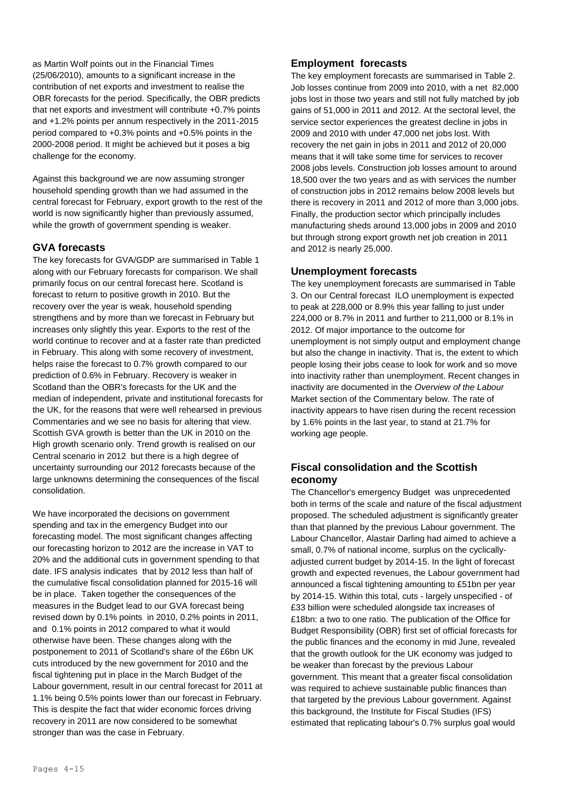as Martin Wolf points out in the Financial Times (25/06/2010), amounts to a significant increase in the contribution of net exports and investment to realise the OBR forecasts for the period. Specifically, the OBR predicts that net exports and investment will contribute +0.7% points and +1.2% points per annum respectively in the 2011-2015 period compared to +0.3% points and +0.5% points in the 2000-2008 period. It might be achieved but it poses a big challenge for the economy.

Against this background we are now assuming stronger household spending growth than we had assumed in the central forecast for February, export growth to the rest of the world is now significantly higher than previously assumed, while the growth of government spending is weaker.

# **GVA forecasts**

The key forecasts for GVA/GDP are summarised in Table 1 along with our February forecasts for comparison. We shall primarily focus on our central forecast here. Scotland is forecast to return to positive growth in 2010. But the recovery over the year is weak, household spending strengthens and by more than we forecast in February but increases only slightly this year. Exports to the rest of the world continue to recover and at a faster rate than predicted in February. This along with some recovery of investment, helps raise the forecast to 0.7% growth compared to our prediction of 0.6% in February. Recovery is weaker in Scotland than the OBR's forecasts for the UK and the median of independent, private and institutional forecasts for the UK, for the reasons that were well rehearsed in previous Commentaries and we see no basis for altering that view. Scottish GVA growth is better than the UK in 2010 on the High growth scenario only. Trend growth is realised on our Central scenario in 2012 but there is a high degree of uncertainty surrounding our 2012 forecasts because of the large unknowns determining the consequences of the fiscal consolidation.

We have incorporated the decisions on government spending and tax in the emergency Budget into our forecasting model. The most significant changes affecting our forecasting horizon to 2012 are the increase in VAT to 20% and the additional cuts in government spending to that date. IFS analysis indicates that by 2012 less than half of the cumulative fiscal consolidation planned for 2015-16 will be in place. Taken together the consequences of the measures in the Budget lead to our GVA forecast being revised down by 0.1% points in 2010, 0.2% points in 2011, and 0.1% points in 2012 compared to what it would otherwise have been. These changes along with the postponement to 2011 of Scotland's share of the £6bn UK cuts introduced by the new government for 2010 and the fiscal tightening put in place in the March Budget of the Labour government, result in our central forecast for 2011 at 1.1% being 0.5% points lower than our forecast in February. This is despite the fact that wider economic forces driving recovery in 2011 are now considered to be somewhat stronger than was the case in February.

# **Employment forecasts**

The key employment forecasts are summarised in Table 2. Job losses continue from 2009 into 2010, with a net 82,000 jobs lost in those two years and still not fully matched by job gains of 51,000 in 2011 and 2012. At the sectoral level, the service sector experiences the greatest decline in jobs in 2009 and 2010 with under 47,000 net jobs lost. With recovery the net gain in jobs in 2011 and 2012 of 20,000 means that it will take some time for services to recover 2008 jobs levels. Construction job losses amount to around 18,500 over the two years and as with services the number of construction jobs in 2012 remains below 2008 levels but there is recovery in 2011 and 2012 of more than 3,000 jobs. Finally, the production sector which principally includes manufacturing sheds around 13,000 jobs in 2009 and 2010 but through strong export growth net job creation in 2011 and 2012 is nearly 25,000.

# **Unemployment forecasts**

The key unemployment forecasts are summarised in Table 3. On our Central forecast ILO unemployment is expected to peak at 228,000 or 8.9% this year falling to just under 224,000 or 8.7% in 2011 and further to 211,000 or 8.1% in 2012. Of major importance to the outcome for unemployment is not simply output and employment change but also the change in inactivity. That is, the extent to which people losing their jobs cease to look for work and so move into inactivity rather than unemployment. Recent changes in inactivity are documented in the *Overview of the Labour* Market section of the Commentary below. The rate of inactivity appears to have risen during the recent recession by 1.6% points in the last year, to stand at 21.7% for working age people.

# **Fiscal consolidation and the Scottish economy**

The Chancellor's emergency Budget was unprecedented both in terms of the scale and nature of the fiscal adjustment proposed. The scheduled adjustment is significantly greater than that planned by the previous Labour government. The Labour Chancellor, Alastair Darling had aimed to achieve a small, 0.7% of national income, surplus on the cyclicallyadjusted current budget by 2014-15. In the light of forecast growth and expected revenues, the Labour government had announced a fiscal tightening amounting to £51bn per year by 2014-15. Within this total, cuts - largely unspecified - of £33 billion were scheduled alongside tax increases of £18bn: a two to one ratio. The publication of the Office for Budget Responsibility (OBR) first set of official forecasts for the public finances and the economy in mid June, revealed that the growth outlook for the UK economy was judged to be weaker than forecast by the previous Labour government. This meant that a greater fiscal consolidation was required to achieve sustainable public finances than that targeted by the previous Labour government. Against this background, the Institute for Fiscal Studies (IFS) estimated that replicating labour's 0.7% surplus goal would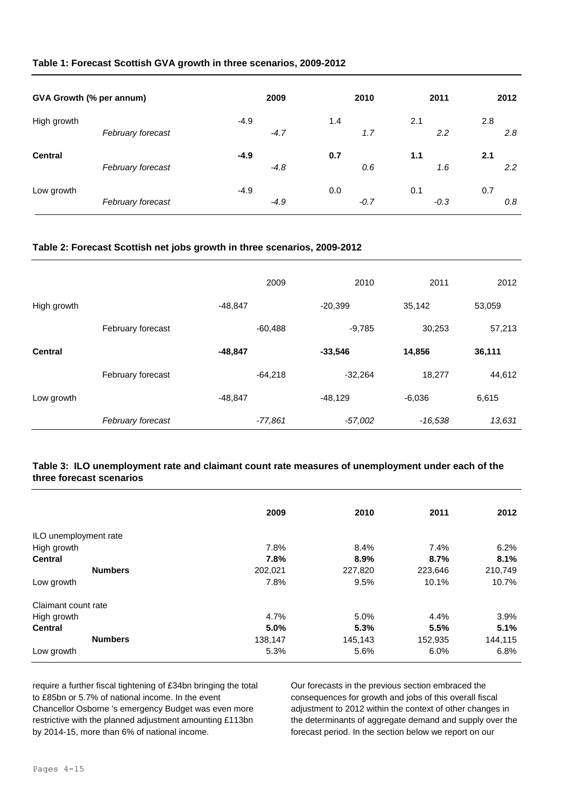#### **Table 1: Forecast Scottish GVA growth in three scenarios, 2009-2012**

| GVA Growth (% per annum) |                   | 2009   |        | 2010 |        |     | 2011   |     | 2012 |
|--------------------------|-------------------|--------|--------|------|--------|-----|--------|-----|------|
| High growth              | February forecast | $-4.9$ | $-4.7$ | 1.4  | 1.7    | 2.1 | 2.2    | 2.8 | 2.8  |
| <b>Central</b>           | February forecast | $-4.9$ | $-4.8$ | 0.7  | 0.6    | 1.1 | 1.6    | 2.1 | 2.2  |
| Low growth               | February forecast | $-4.9$ | $-4.9$ | 0.0  | $-0.7$ | 0.1 | $-0.3$ | 0.7 | 0.8  |

#### **Table 2: Forecast Scottish net jobs growth in three scenarios, 2009-2012**

|                |                   | 2009      | 2010      | 2011      | 2012   |
|----------------|-------------------|-----------|-----------|-----------|--------|
| High growth    |                   | $-48.847$ | $-20,399$ | 35,142    | 53,059 |
|                | February forecast | $-60,488$ | $-9,785$  | 30,253    | 57,213 |
| <b>Central</b> |                   | $-48,847$ | $-33,546$ | 14,856    | 36,111 |
|                | February forecast | $-64,218$ | $-32,264$ | 18,277    | 44,612 |
| Low growth     |                   | $-48,847$ | $-48,129$ | $-6,036$  | 6,615  |
|                | February forecast | $-77,861$ | $-57,002$ | $-16,538$ | 13,631 |

#### **Table 3: ILO unemployment rate and claimant count rate measures of unemployment under each of the three forecast scenarios**

|                       | 2009    | 2010    | 2011    | 2012    |
|-----------------------|---------|---------|---------|---------|
| ILO unemployment rate |         |         |         |         |
| High growth           | 7.8%    | 8.4%    | 7.4%    | 6.2%    |
| <b>Central</b>        | 7.8%    | 8.9%    | 8.7%    | 8.1%    |
| <b>Numbers</b>        | 202,021 | 227,820 | 223,646 | 210,749 |
| Low growth            | 7.8%    | 9.5%    | 10.1%   | 10.7%   |
| Claimant count rate   |         |         |         |         |
| High growth           | 4.7%    | 5.0%    | 4.4%    | 3.9%    |
| <b>Central</b>        | 5.0%    | 5.3%    | 5.5%    | 5.1%    |
| <b>Numbers</b>        | 138,147 | 145,143 | 152,935 | 144,115 |
| Low growth            | 5.3%    | 5.6%    | 6.0%    | 6.8%    |

require a further fiscal tightening of £34bn bringing the total to £85bn or 5.7% of national income. In the event Chancellor Osborne 's emergency Budget was even more restrictive with the planned adjustment amounting £113bn by 2014-15, more than 6% of national income.

Our forecasts in the previous section embraced the consequences for growth and jobs of this overall fiscal adjustment to 2012 within the context of other changes in the determinants of aggregate demand and supply over the forecast period. In the section below we report on our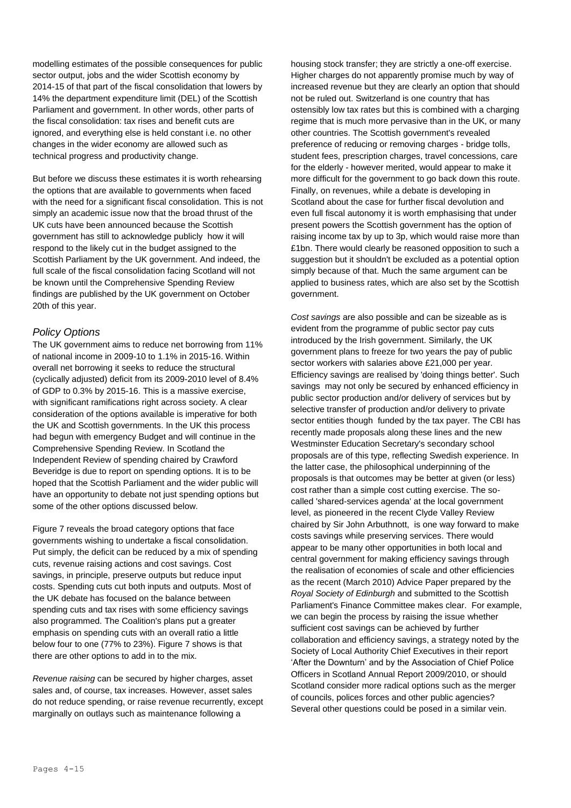modelling estimates of the possible consequences for public sector output, jobs and the wider Scottish economy by 2014-15 of that part of the fiscal consolidation that lowers by 14% the department expenditure limit (DEL) of the Scottish Parliament and government. In other words, other parts of the fiscal consolidation: tax rises and benefit cuts are ignored, and everything else is held constant i.e. no other changes in the wider economy are allowed such as technical progress and productivity change.

But before we discuss these estimates it is worth rehearsing the options that are available to governments when faced with the need for a significant fiscal consolidation. This is not simply an academic issue now that the broad thrust of the UK cuts have been announced because the Scottish government has still to acknowledge publicly how it will respond to the likely cut in the budget assigned to the Scottish Parliament by the UK government. And indeed, the full scale of the fiscal consolidation facing Scotland will not be known until the Comprehensive Spending Review findings are published by the UK government on October 20th of this year.

#### *Policy Options*

The UK government aims to reduce net borrowing from 11% of national income in 2009-10 to 1.1% in 2015-16. Within overall net borrowing it seeks to reduce the structural (cyclically adjusted) deficit from its 2009-2010 level of 8.4% of GDP to 0.3% by 2015-16. This is a massive exercise, with significant ramifications right across society. A clear consideration of the options available is imperative for both the UK and Scottish governments. In the UK this process had begun with emergency Budget and will continue in the Comprehensive Spending Review. In Scotland the Independent Review of spending chaired by Crawford Beveridge is due to report on spending options. It is to be hoped that the Scottish Parliament and the wider public will have an opportunity to debate not just spending options but some of the other options discussed below.

Figure 7 reveals the broad category options that face governments wishing to undertake a fiscal consolidation. Put simply, the deficit can be reduced by a mix of spending cuts, revenue raising actions and cost savings. Cost savings, in principle, preserve outputs but reduce input costs. Spending cuts cut both inputs and outputs. Most of the UK debate has focused on the balance between spending cuts and tax rises with some efficiency savings also programmed. The Coalition's plans put a greater emphasis on spending cuts with an overall ratio a little below four to one (77% to 23%). Figure 7 shows is that there are other options to add in to the mix.

*Revenue raising* can be secured by higher charges, asset sales and, of course, tax increases. However, asset sales do not reduce spending, or raise revenue recurrently, except marginally on outlays such as maintenance following a

housing stock transfer; they are strictly a one-off exercise. Higher charges do not apparently promise much by way of increased revenue but they are clearly an option that should not be ruled out. Switzerland is one country that has ostensibly low tax rates but this is combined with a charging regime that is much more pervasive than in the UK, or many other countries. The Scottish government's revealed preference of reducing or removing charges - bridge tolls, student fees, prescription charges, travel concessions, care for the elderly - however merited, would appear to make it more difficult for the government to go back down this route. Finally, on revenues, while a debate is developing in Scotland about the case for further fiscal devolution and even full fiscal autonomy it is worth emphasising that under present powers the Scottish government has the option of raising income tax by up to 3p, which would raise more than £1bn. There would clearly be reasoned opposition to such a suggestion but it shouldn't be excluded as a potential option simply because of that. Much the same argument can be applied to business rates, which are also set by the Scottish government.

*Cost savings* are also possible and can be sizeable as is evident from the programme of public sector pay cuts introduced by the Irish government. Similarly, the UK government plans to freeze for two years the pay of public sector workers with salaries above £21,000 per year. Efficiency savings are realised by 'doing things better'. Such savings may not only be secured by enhanced efficiency in public sector production and/or delivery of services but by selective transfer of production and/or delivery to private sector entities though funded by the tax payer. The CBI has recently made proposals along these lines and the new Westminster Education Secretary's secondary school proposals are of this type, reflecting Swedish experience. In the latter case, the philosophical underpinning of the proposals is that outcomes may be better at given (or less) cost rather than a simple cost cutting exercise. The socalled 'shared-services agenda' at the local government level, as pioneered in the recent Clyde Valley Review chaired by Sir John Arbuthnott, is one way forward to make costs savings while preserving services. There would appear to be many other opportunities in both local and central government for making efficiency savings through the realisation of economies of scale and other efficiencies as the recent (March 2010) Advice Paper prepared by the *Royal Society of Edinburgh* and submitted to the Scottish Parliament's Finance Committee makes clear. For example, we can begin the process by raising the issue whether sufficient cost savings can be achieved by further collaboration and efficiency savings, a strategy noted by the Society of Local Authority Chief Executives in their report 'After the Downturn' and by the Association of Chief Police Officers in Scotland Annual Report 2009/2010, or should Scotland consider more radical options such as the merger of councils, polices forces and other public agencies? Several other questions could be posed in a similar vein.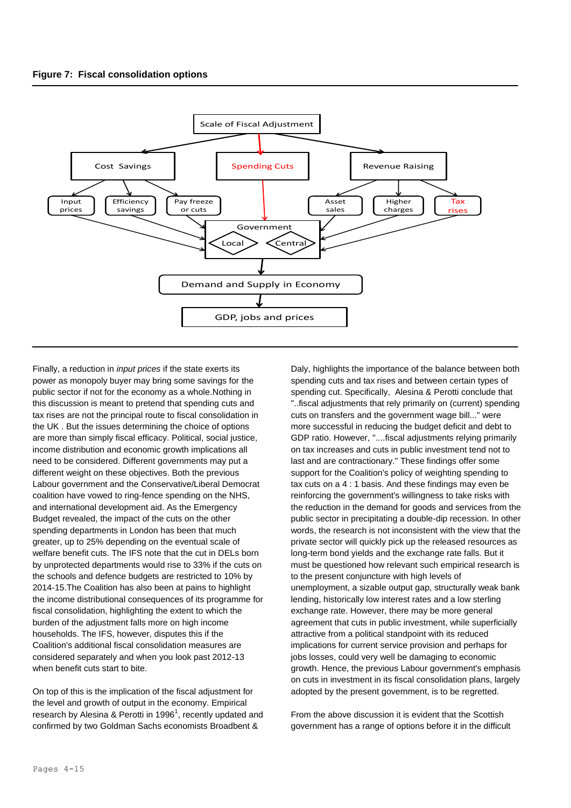

Finally, a reduction in *input prices* if the state exerts its power as monopoly buyer may bring some savings for the public sector if not for the economy as a whole.Nothing in this discussion is meant to pretend that spending cuts and tax rises are not the principal route to fiscal consolidation in the UK . But the issues determining the choice of options are more than simply fiscal efficacy. Political, social justice, income distribution and economic growth implications all need to be considered. Different governments may put a different weight on these objectives. Both the previous Labour government and the Conservative/Liberal Democrat coalition have vowed to ring-fence spending on the NHS, and international development aid. As the Emergency Budget revealed, the impact of the cuts on the other spending departments in London has been that much greater, up to 25% depending on the eventual scale of welfare benefit cuts. The IFS note that the cut in DELs born by unprotected departments would rise to 33% if the cuts on the schools and defence budgets are restricted to 10% by 2014-15.The Coalition has also been at pains to highlight the income distributional consequences of its programme for fiscal consolidation, highlighting the extent to which the burden of the adjustment falls more on high income households. The IFS, however, disputes this if the Coalition's additional fiscal consolidation measures are considered separately and when you look past 2012-13 when benefit cuts start to bite.

On top of this is the implication of the fiscal adjustment for the level and growth of output in the economy. Empirical research by Alesina & Perotti in 1996<sup>1</sup>, recently updated and confirmed by two Goldman Sachs economists Broadbent &

Daly, highlights the importance of the balance between both spending cuts and tax rises and between certain types of spending cut. Specifically, Alesina & Perotti conclude that "..fiscal adjustments that rely primarily on (current) spending cuts on transfers and the government wage bill..." were more successful in reducing the budget deficit and debt to GDP ratio. However, "....fiscal adjustments relying primarily on tax increases and cuts in public investment tend not to last and are contractionary." These findings offer some support for the Coalition's policy of weighting spending to tax cuts on a 4 : 1 basis. And these findings may even be reinforcing the government's willingness to take risks with the reduction in the demand for goods and services from the public sector in precipitating a double-dip recession. In other words, the research is not inconsistent with the view that the private sector will quickly pick up the released resources as long-term bond yields and the exchange rate falls. But it must be questioned how relevant such empirical research is to the present conjuncture with high levels of unemployment, a sizable output gap, structurally weak bank lending, historically low interest rates and a low sterling exchange rate. However, there may be more general agreement that cuts in public investment, while superficially attractive from a political standpoint with its reduced implications for current service provision and perhaps for jobs losses, could very well be damaging to economic growth. Hence, the previous Labour government's emphasis on cuts in investment in its fiscal consolidation plans, largely adopted by the present government, is to be regretted.

From the above discussion it is evident that the Scottish government has a range of options before it in the difficult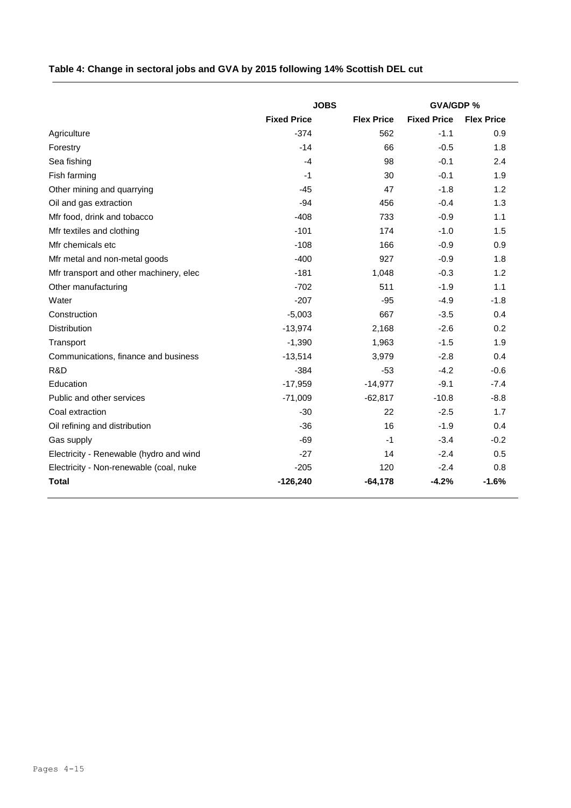# **Table 4: Change in sectoral jobs and GVA by 2015 following 14% Scottish DEL cut**

|                                         | <b>JOBS</b>        | <b>GVA/GDP %</b>  |                    |                   |  |
|-----------------------------------------|--------------------|-------------------|--------------------|-------------------|--|
|                                         | <b>Fixed Price</b> | <b>Flex Price</b> | <b>Fixed Price</b> | <b>Flex Price</b> |  |
| Agriculture                             | $-374$             | 562               | $-1.1$             | 0.9               |  |
| Forestry                                | $-14$              | 66                | $-0.5$             | 1.8               |  |
| Sea fishing                             | $-4$               | 98                | $-0.1$             | 2.4               |  |
| Fish farming                            | $-1$               | 30                | $-0.1$             | 1.9               |  |
| Other mining and quarrying              | $-45$              | 47                | $-1.8$             | 1.2               |  |
| Oil and gas extraction                  | $-94$              | 456               | $-0.4$             | 1.3               |  |
| Mfr food, drink and tobacco             | $-408$             | 733               | $-0.9$             | 1.1               |  |
| Mfr textiles and clothing               | $-101$             | 174               | $-1.0$             | 1.5               |  |
| Mfr chemicals etc                       | $-108$             | 166               | $-0.9$             | 0.9               |  |
| Mfr metal and non-metal goods           | $-400$             | 927               | $-0.9$             | 1.8               |  |
| Mfr transport and other machinery, elec | $-181$             | 1,048             | $-0.3$             | 1.2               |  |
| Other manufacturing                     | $-702$             | 511               | $-1.9$             | 1.1               |  |
| Water                                   | $-207$             | $-95$             | $-4.9$             | $-1.8$            |  |
| Construction                            | $-5,003$           | 667               | $-3.5$             | 0.4               |  |
| <b>Distribution</b>                     | $-13,974$          | 2,168             | $-2.6$             | 0.2               |  |
| Transport                               | $-1,390$           | 1,963             | $-1.5$             | 1.9               |  |
| Communications, finance and business    | $-13,514$          | 3,979             | $-2.8$             | 0.4               |  |
| R&D                                     | $-384$             | $-53$             | $-4.2$             | $-0.6$            |  |
| Education                               | $-17,959$          | $-14,977$         | $-9.1$             | $-7.4$            |  |
| Public and other services               | $-71,009$          | $-62,817$         | $-10.8$            | $-8.8$            |  |
| Coal extraction                         | $-30$              | 22                | $-2.5$             | 1.7               |  |
| Oil refining and distribution           | $-36$              | 16                | $-1.9$             | 0.4               |  |
| Gas supply                              | $-69$              | $-1$              | $-3.4$             | $-0.2$            |  |
| Electricity - Renewable (hydro and wind | $-27$              | 14                | $-2.4$             | 0.5               |  |
| Electricity - Non-renewable (coal, nuke | $-205$             | 120               | $-2.4$             | 0.8               |  |
| <b>Total</b>                            | $-126,240$         | $-64,178$         | $-4.2%$            | $-1.6%$           |  |